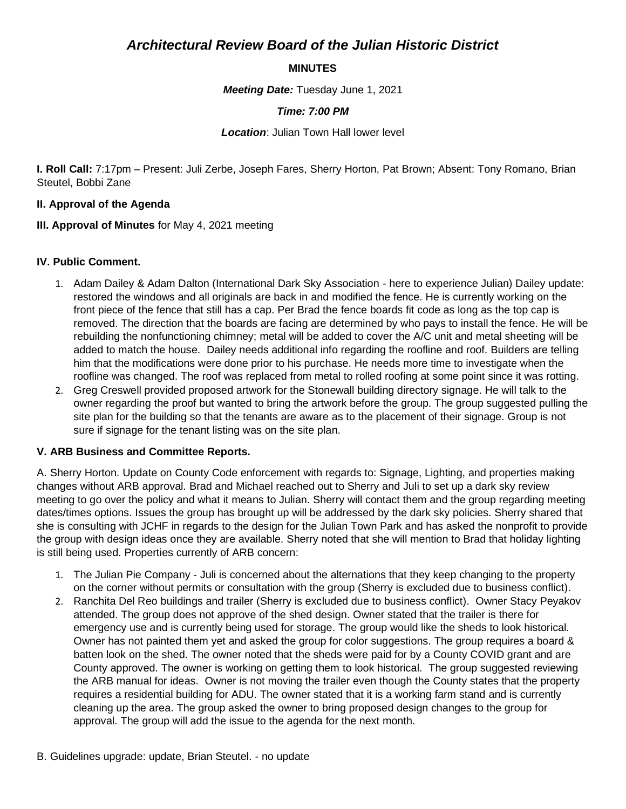# *Architectural Review Board of the Julian Historic District*

### **MINUTES**

*Meeting Date:* Tuesday June 1, 2021

### *Time: 7:00 PM*

*Location*: Julian Town Hall lower level

**I. Roll Call:** 7:17pm – Present: Juli Zerbe, Joseph Fares, Sherry Horton, Pat Brown; Absent: Tony Romano, Brian Steutel, Bobbi Zane

#### **II. Approval of the Agenda**

**III. Approval of Minutes** for May 4, 2021 meeting

#### **IV. Public Comment.**

- 1. Adam Dailey & Adam Dalton (International Dark Sky Association here to experience Julian) Dailey update: restored the windows and all originals are back in and modified the fence. He is currently working on the front piece of the fence that still has a cap. Per Brad the fence boards fit code as long as the top cap is removed. The direction that the boards are facing are determined by who pays to install the fence. He will be rebuilding the nonfunctioning chimney; metal will be added to cover the A/C unit and metal sheeting will be added to match the house. Dailey needs additional info regarding the roofline and roof. Builders are telling him that the modifications were done prior to his purchase. He needs more time to investigate when the roofline was changed. The roof was replaced from metal to rolled roofing at some point since it was rotting.
- 2. Greg Creswell provided proposed artwork for the Stonewall building directory signage. He will talk to the owner regarding the proof but wanted to bring the artwork before the group. The group suggested pulling the site plan for the building so that the tenants are aware as to the placement of their signage. Group is not sure if signage for the tenant listing was on the site plan.

#### **V. ARB Business and Committee Reports.**

A. Sherry Horton. Update on County Code enforcement with regards to: Signage, Lighting, and properties making changes without ARB approval. Brad and Michael reached out to Sherry and Juli to set up a dark sky review meeting to go over the policy and what it means to Julian. Sherry will contact them and the group regarding meeting dates/times options. Issues the group has brought up will be addressed by the dark sky policies. Sherry shared that she is consulting with JCHF in regards to the design for the Julian Town Park and has asked the nonprofit to provide the group with design ideas once they are available. Sherry noted that she will mention to Brad that holiday lighting is still being used. Properties currently of ARB concern:

- 1. The Julian Pie Company Juli is concerned about the alternations that they keep changing to the property on the corner without permits or consultation with the group (Sherry is excluded due to business conflict).
- 2. Ranchita Del Reo buildings and trailer (Sherry is excluded due to business conflict). Owner Stacy Peyakov attended. The group does not approve of the shed design. Owner stated that the trailer is there for emergency use and is currently being used for storage. The group would like the sheds to look historical. Owner has not painted them yet and asked the group for color suggestions. The group requires a board & batten look on the shed. The owner noted that the sheds were paid for by a County COVID grant and are County approved. The owner is working on getting them to look historical. The group suggested reviewing the ARB manual for ideas. Owner is not moving the trailer even though the County states that the property requires a residential building for ADU. The owner stated that it is a working farm stand and is currently cleaning up the area. The group asked the owner to bring proposed design changes to the group for approval. The group will add the issue to the agenda for the next month.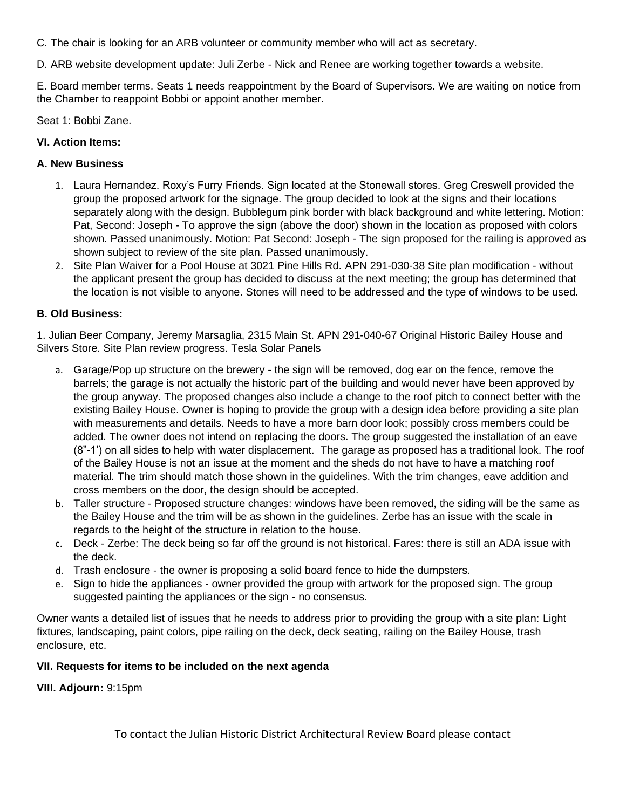C. The chair is looking for an ARB volunteer or community member who will act as secretary.

D. ARB website development update: Juli Zerbe - Nick and Renee are working together towards a website.

E. Board member terms. Seats 1 needs reappointment by the Board of Supervisors. We are waiting on notice from the Chamber to reappoint Bobbi or appoint another member.

Seat 1: Bobbi Zane.

### **VI. Action Items:**

### **A. New Business**

- 1. Laura Hernandez. Roxy's Furry Friends. Sign located at the Stonewall stores. Greg Creswell provided the group the proposed artwork for the signage. The group decided to look at the signs and their locations separately along with the design. Bubblegum pink border with black background and white lettering. Motion: Pat, Second: Joseph - To approve the sign (above the door) shown in the location as proposed with colors shown. Passed unanimously. Motion: Pat Second: Joseph - The sign proposed for the railing is approved as shown subject to review of the site plan. Passed unanimously.
- 2. Site Plan Waiver for a Pool House at 3021 Pine Hills Rd. APN 291-030-38 Site plan modification without the applicant present the group has decided to discuss at the next meeting; the group has determined that the location is not visible to anyone. Stones will need to be addressed and the type of windows to be used.

## **B. Old Business:**

1. Julian Beer Company, Jeremy Marsaglia, 2315 Main St. APN 291-040-67 Original Historic Bailey House and Silvers Store. Site Plan review progress. Tesla Solar Panels

- a. Garage/Pop up structure on the brewery the sign will be removed, dog ear on the fence, remove the barrels; the garage is not actually the historic part of the building and would never have been approved by the group anyway. The proposed changes also include a change to the roof pitch to connect better with the existing Bailey House. Owner is hoping to provide the group with a design idea before providing a site plan with measurements and details. Needs to have a more barn door look; possibly cross members could be added. The owner does not intend on replacing the doors. The group suggested the installation of an eave (8"-1') on all sides to help with water displacement. The garage as proposed has a traditional look. The roof of the Bailey House is not an issue at the moment and the sheds do not have to have a matching roof material. The trim should match those shown in the guidelines. With the trim changes, eave addition and cross members on the door, the design should be accepted.
- b. Taller structure Proposed structure changes: windows have been removed, the siding will be the same as the Bailey House and the trim will be as shown in the guidelines. Zerbe has an issue with the scale in regards to the height of the structure in relation to the house.
- c. Deck Zerbe: The deck being so far off the ground is not historical. Fares: there is still an ADA issue with the deck.
- d. Trash enclosure the owner is proposing a solid board fence to hide the dumpsters.
- e. Sign to hide the appliances owner provided the group with artwork for the proposed sign. The group suggested painting the appliances or the sign - no consensus.

Owner wants a detailed list of issues that he needs to address prior to providing the group with a site plan: Light fixtures, landscaping, paint colors, pipe railing on the deck, deck seating, railing on the Bailey House, trash enclosure, etc.

# **VII. Requests for items to be included on the next agenda**

**VIII. Adjourn:** 9:15pm